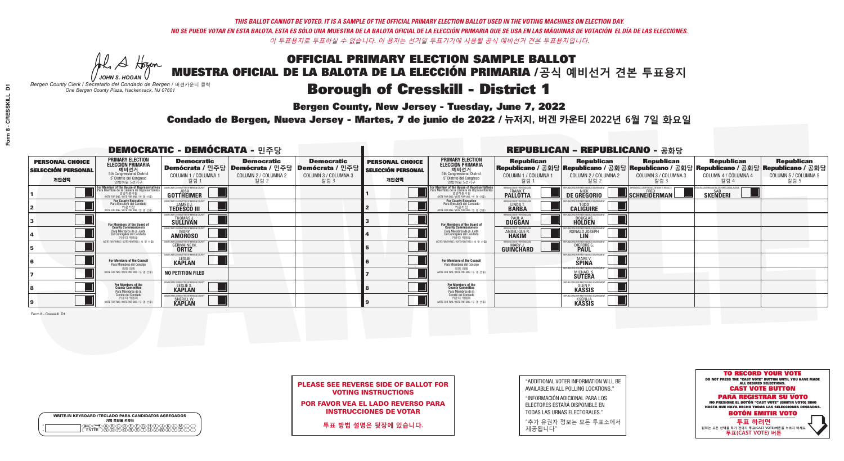A Hogen *JOHN S. HOGAN*

|   | <b>WRITE-IN KEYBOARD /TECLADO PARA CANDIDATOS AGREGADOS</b><br>기명 투표용 키보드 |
|---|---------------------------------------------------------------------------|
| o | .)B)C)DE)F)G)H)                                                           |
| o | <u>እጅአል አል</u>                                                            |

### **Borough of Cresskill - District 1**

**Bergen County, New Jersey - Tuesday, June 7, 2022** 

*Bergen County Clerk / Secretario del Condado de Bergen /* 버겐카운티 클럭 *One Bergen County Plaza, Hackensack, NJ 07601*



| <b>PLEASE SEE REVERSE SIDE OF BALLOT FOR</b> |
|----------------------------------------------|
| <b>VOTING INSTRUCTIONS</b>                   |

POR FAVOR VEA EL LADO REVERSO PARA INSTRUCCIONES DE VOTAR

**투표 방법 설명은 뒷장에 있습니다.**

"ADDITIONAL VOTER INFORMATION WILL BE AVAILABLE IN ALL POLLING LOCATIONS."

"INFORMACIÓN ADICIONAL PARA LOS ELECTORES ESTARÁ DISPONIBLE EN TODAS LAS URNAS ELECTORALES."

"추가 유권자 정보는 모든 투표소에서 제공됩니다"

Condado de Bergen, Nueva Jersey - Martes, 7 de junio de 2022 / 뉴저지, 버겐 카운티 2022년 6월 7일 화요일 *One Bergen County Plaza, Hackensack, NJ 07601*

| <b>DEMOCRATIC - DEMÓCRATA - 민주당</b>                         |                                                                                                                                             |                                                                    |                                                   |                                                                                                        |                                                             |                                                                                                                                               |                                                               | <b>REPUBLICAN - REPUBLICANO - 공화당</b>                         |                                                                                                                                         |                                                            |                                                   |
|-------------------------------------------------------------|---------------------------------------------------------------------------------------------------------------------------------------------|--------------------------------------------------------------------|---------------------------------------------------|--------------------------------------------------------------------------------------------------------|-------------------------------------------------------------|-----------------------------------------------------------------------------------------------------------------------------------------------|---------------------------------------------------------------|---------------------------------------------------------------|-----------------------------------------------------------------------------------------------------------------------------------------|------------------------------------------------------------|---------------------------------------------------|
| <b>PERSONAL CHOICE</b><br><b>SELECCIÓN PERSONAL</b><br>개인선택 | <b>PRIMARY ELECTION</b><br><b>ELECCIÓN PRIMARIA</b><br>예비선거<br>5th Congressional District<br>5° Distrito del Congreso<br>연방하원 5선거구          | <b>Democratic</b><br>COLUMN 1 / COLUMNA 1<br>칼럼 :                  | <b>Democratic</b><br>COLUMN 2 / COLUMNA 2<br>칼럼 2 | <b>Democratic</b><br>│Demócrata / 민주당│Demócrata / 민주당│Demócrata / 민주당┃<br>COLUMN 3 / COLUMNA 3<br>칼럼 3 | <b>PERSONAL CHOICE</b><br><b>SELECCIÓN PERSONAL</b><br>개인선택 | <b>PRIMARY ELECTION</b><br>ELECCIÓN PRIMARIA<br>예비선거<br>5th Congressional District<br>5° Distrito del Congreso<br>연방하원 5선거구                   | <b>Republican</b><br>COLUMN 1 / COLUMNA 1<br>칼럼               | <b>Republican</b><br>COLUMN 2 / COLUMNA 2<br>칼럼 2             | Republican<br>Republicano / 공화당 Republicano / 공화당 Republicano / 공화당 Republicano / 공화당 Republicano / 공화당<br>COLUMN 3 / COLUMNA 3<br>칼럼 3 | <b>Republican</b><br>COLUMN 4 / COLUMNA 4<br>칼럼 4          | <b>Republican</b><br>COLUMN 5 / COLUMNA 5<br>칼럼 5 |
|                                                             | or Member of the House of Representatives<br>ara Miembro de la Cámara de Representantes<br>연방하원의원<br>(VOTE FOR ONE / VOTE POR UNO / 한 명 선출) | GOTTHEIMER                                                         |                                                   |                                                                                                        |                                                             | For Member of the House of Representatives<br>Para Miembro de la Cámara de Representantes<br>연방하원의원<br>(WOTE FOR ONE / VOTE POR UNO / 한 명 선출) | BERGEN COUNTY REPUBLICAN<br>FRANK T.<br><b>PALLOTTA</b>       | DE GREGORIO                                                   | PERIENCE. COMPETENCE. INTEGRITY. RESULTS<br>SCHNEIDERMAN                                                                                | VACCINE MANDATES, DEPORT ILLEGAL ALIENS<br><b>SKENDERI</b> |                                                   |
|                                                             | For County Executive<br>Para Ejecutivo del Condado<br>가운티장<br>(VOTE FOR ONE / VOTE POR UNO / 한 명 선출)                                        | DEMOCRATIC COMMITTEE OF BERGEN COUNTY<br><b>TEDESCO III</b>        |                                                   |                                                                                                        |                                                             | For County Executive<br>Para Ejecutivo del Condado<br>7) 카운티장<br>(VOTE FOR ONE / VOTE POR UNO / 한 명 선출)                                       | BERGEN COUNTY REPUBLICAN<br>LINDA T.                          | <b>CALIGUIRE</b>                                              |                                                                                                                                         |                                                            |                                                   |
|                                                             | <b>For Members of the Board of<br/>County Commissioners</b>                                                                                 | <b><i>AOCRATIC COMMITTEE OF BERGEN COUNTY</i></b><br>THOMAS J.     |                                                   |                                                                                                        |                                                             | For Members of the Board of<br>County Commissioners                                                                                           | ERGEN COUNTY REPUBLICAN<br><b>PAUL A.</b><br><b>DUGGAN</b>    | <b>DOUGLAS</b>                                                |                                                                                                                                         |                                                            |                                                   |
|                                                             | Para Miembros de la Junta<br>De Concejales del Condado<br>카우티 위원들                                                                           | RATIC COMMITTEE OF BERGEN COUNTY:<br><b>MARY</b><br><b>AMOROSO</b> |                                                   |                                                                                                        |                                                             | Para Miembros de la Junta<br>De Concejales del Condado<br>카운티 위원들                                                                             | FRGEN COUNTY REPUBLICAN<br><b>ANGELIQUE F</b><br><b>HAKIM</b> | RONALD JOSEPH                                                 |                                                                                                                                         |                                                            |                                                   |
|                                                             | NOTE FOR THREE / VOTE POR TRES / 세 명 선출)                                                                                                    | AATIC COMMITTEE OF BERGEN CI<br><b>GERMAINE M.</b>                 |                                                   |                                                                                                        |                                                             | (VOTE FOR THREE / VOTE POR TRES / 세 명 선출)                                                                                                     | ERGEN COUNTY REPUBLICANS<br>MARY J<br>GUINCHARD               | FOR RESPONSIBLE G<br>DIERDRE G                                |                                                                                                                                         |                                                            |                                                   |
|                                                             | For Members of the Council<br>Para Miembros del Conceio                                                                                     | MOCRATIC COMMITTEE OF BERGEN O<br><b>KAPLAN</b>                    |                                                   |                                                                                                        |                                                             | For Members of the Council<br>Para Miembros del Conceio                                                                                       |                                                               | FOR RESPONSIBLE G<br><b>MARK V.</b><br><b>SPINA</b>           |                                                                                                                                         |                                                            |                                                   |
|                                                             | 의회 의원<br>(VOTE FOR TWO / VOTE POR DOS / 두 명 선출                                                                                              | <b>NO PETITION FILED</b>                                           |                                                   |                                                                                                        |                                                             | 의회 의원<br>NOTE FOR TWO / VOTE POR DOS / 두 명 선출)                                                                                                |                                                               | PUBLICANS FOR RESPONSIBLE G<br>MICHAEL S.<br><b>SUTERA</b>    |                                                                                                                                         |                                                            |                                                   |
|                                                             | For Members of the<br>County Committee<br>Para Miembros de la                                                                               | OCRATIC COMMITTEE OF BERGEN COUNTY<br>LESLIE S.<br>KAPLAN          |                                                   |                                                                                                        |                                                             | For Members of the<br>County Committee<br>Para Miembros de la<br>Comité del Condado                                                           |                                                               | <b>GLEN P.</b><br>KASSIS                                      |                                                                                                                                         |                                                            |                                                   |
|                                                             | Comité del Condado<br>카운티 위원회<br>(VOTE FOR TWO / VOTE POR DOS / 두 명 선출)                                                                     | MOCRATIC COMMITTEE OF BERGEN<br>SHERILL W.<br><b>KAPLAN</b>        |                                                   |                                                                                                        |                                                             | 카운티 위원회<br>NOTE FOR TWO / VOTE POR DOS / 두 명 선출)                                                                                              |                                                               | EPUBLICANS FOR RESPONSIBLE<br><b>KSENIJA</b><br><b>KASSIS</b> |                                                                                                                                         |                                                            |                                                   |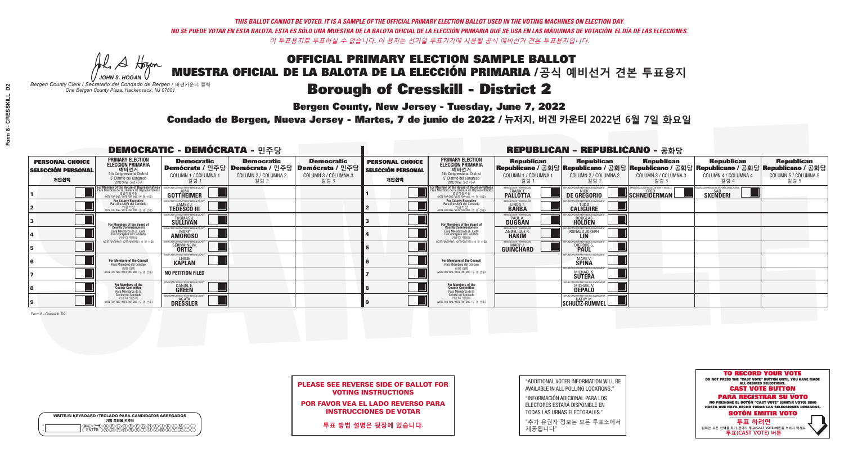A Hogen *JOHN S. HOGAN*

|         | <b>WRITE-IN KEYBOARD /TECLADO PARA CANDIDATOS AGREGADOS</b><br>기명 투표용 키보드 |
|---------|---------------------------------------------------------------------------|
| ٥       | .)(B)C)(D)(E)(F)(G)(H)(                                                   |
| $\circ$ | <u>፝ዀ፝</u> ዀዀጞጞዂ                                                          |

# **Borough of Cresskill - District 2**

**Bergen County, New Jersey - Tuesday, June 7, 2022** 

*Bergen County Clerk / Secretario del Condado de Bergen /* 버겐카운티 클럭 *One Bergen County Plaza, Hackensack, NJ 07601*



| <b>PLEASE SEE REVERSE SIDE OF BALLOT FOR</b> |
|----------------------------------------------|
| <b>VOTING INSTRUCTIONS</b>                   |

POR FAVOR VEA EL LADO REVERSO PARA INSTRUCCIONES DE VOTAR

**투표 방법 설명은 뒷장에 있습니다.**

"ADDITIONAL VOTER INFORMATION WILL BE AVAILABLE IN ALL POLLING LOCATIONS."

"INFORMACIÓN ADICIONAL PARA LOS ELECTORES ESTARÁ DISPONIBLE EN TODAS LAS URNAS ELECTORALES."

"추가 유권자 정보는 모든 투표소에서 제공됩니다"

Condado de Bergen, Nueva Jersey - Martes, 7 de junio de 2022 / 뉴저지, 버겐 카운티 2022년 6월 7일 화요일 *One Bergen County Plaza, Hackensack, NJ 07601*

| <b>DEMOCRATIC - DEMÓCRATA - 민주당</b>                         |                                                                                                                                                      |                                                                      |                                                   |                                                                                                              |                                                             |                                                                                                                                             |                                                   | <b>REPUBLICAN - REPUBLICANO - 공화당</b>                                      |                                                   |                                                                                                                                                |                                                   |
|-------------------------------------------------------------|------------------------------------------------------------------------------------------------------------------------------------------------------|----------------------------------------------------------------------|---------------------------------------------------|--------------------------------------------------------------------------------------------------------------|-------------------------------------------------------------|---------------------------------------------------------------------------------------------------------------------------------------------|---------------------------------------------------|----------------------------------------------------------------------------|---------------------------------------------------|------------------------------------------------------------------------------------------------------------------------------------------------|---------------------------------------------------|
| <b>PERSONAL CHOICE</b><br><b>SELECCIÓN PERSONAL</b><br>개인선택 | <b>PRIMARY ELECTION</b><br><b>ELECCIÓN PRIMARIA</b><br>예비선거<br>5th Congressional District<br>5° Distrito del Congreso<br>연방하원 5선거구                   | <b>Democratic</b><br>COLUMN 1 / COLUMNA 1<br>칼럼 :                    | <b>Democratic</b><br>COLUMN 2 / COLUMNA 2<br>칼럼 2 | <b>Democratic</b><br>  Demócrata / 민주당   Demócrata / 민주당   Demócrata / 민주당  <br>COLUMN 3 / COLUMNA 3<br>칼럼 3 | <b>PERSONAL CHOICE</b><br><b>SELECCIÓN PERSONAL</b><br>개인선택 | <b>PRIMARY ELECTION</b><br><b>ELECCIÓN PRIMARIA</b><br><u>. 예비선거</u><br>5th Congressional District<br>5° Distrito del Congreso<br>연방하원 5선거구 | <b>Republican</b><br>COLUMN 1 / COLUMNA 1<br>칼럼   | <b>Republican</b><br>COLUMN 2 / COLUMNA 2<br>칼럼 2                          | <b>Republican</b><br>COLUMN 3 / COLUMNA 3<br>칼럼 3 | <b>Republican</b><br>Republicano / 공화당 Republicano / 공화당 Republicano / 공화당 Republicano / 공화당 Republicano / 공화당<br>COLUMN 4 / COLUMNA 4<br>칼럼 4 | <b>Republican</b><br>COLUMN 5 / COLUMNA 5<br>칼럼 5 |
|                                                             | <b>For Member of the House of Representatives</b><br>Para Miembro de la Cámara de Representantes<br>연방하원의원<br>(VOTE FOR ONE / VOTE POR UNO / 한 명 선출) | <b>GOTTHEIMER</b>                                                    |                                                   |                                                                                                              |                                                             | For Member of the House of Representatives<br>Para Miembro de la Cámara de Representantes<br>WOTE FOR ONE / VOTE POR UNO / 한 명 선출           | ERGEN COUNTY REPUBLICAN<br><b>PALLOTTA</b>        | DE GREGORIO                                                                | SCHNEIDERMAN                                      | D VACCINE MANDATES, DEPORT ILLEGAL ALIENS.<br><b>SKENDERI</b>                                                                                  |                                                   |
|                                                             | For County Executive<br>Para Ejecutivo del Condado<br>. 카운티장<br>(VOTE FOR ONE / VOTE POR UNO / 한 명 선출)                                               | EMOCRATIC COMMITTEE OF BERGEN COUNTY<br><b>TEDESCO III</b>           |                                                   |                                                                                                              |                                                             | For County Executive<br>Para Ejecutivo del Condado<br>카운티장<br>(VOTE FOR ONE / VOTE POR UNO / 한 명 선출)                                        | BERGEN COUNTY REPUBLICAN<br>LINDA T.              | <b>CALIGUIRE</b>                                                           |                                                   |                                                                                                                                                |                                                   |
|                                                             | For Members of the Board of<br>County Commissioners                                                                                                  | MOCRATIC COMMITTEE OF BERGEN COUNTY<br>THOMAS J.                     |                                                   |                                                                                                              |                                                             | For Members of the Board of<br>County Commissioners                                                                                         | ERGEN COUNTY REPUBLICAN<br><b>DUGGAN</b>          | <b>DOUGLAS</b><br><b>HOLDEN</b>                                            |                                                   |                                                                                                                                                |                                                   |
|                                                             | Para Miembros de la Junta<br>De Concejales del Condado<br>카운티 위원들                                                                                    | MOCRATIC COMMITTEE OF BERGEN COUNTY<br><b>MARY</b><br><b>AMOROSO</b> |                                                   |                                                                                                              |                                                             | Para Miembros de la Junta<br>De Concejales del Condado<br>카우티 위원들                                                                           | <b>RGEN COUNTY REPUBLICAN</b><br>ANGELIQUE R      | RONALD JOSEPH<br><b>LIN</b>                                                |                                                   |                                                                                                                                                |                                                   |
|                                                             | NOTE FOR THREE / VOTE POR TRES / 세 명 선출                                                                                                              | ATIC COMMITTEE OF BERGEN COUNT<br><b>GERMAINE M.</b>                 |                                                   |                                                                                                              |                                                             | (VOTE FOR THREE / VOTE POR TRES / 세 명 선출)                                                                                                   | BERGEN COUNTY REPUBLICANS<br>MARY J.<br>GUINCHARD | S FOR RESPONSIBI E G<br>DIERDRE G                                          |                                                   |                                                                                                                                                |                                                   |
|                                                             | For Members of the Council<br>Para Miembros del Conceio                                                                                              | EMOCRATIC COMMITTEE OF BERGEN COUNTY<br><b>KAPLAN</b>                |                                                   |                                                                                                              |                                                             | <b>For Members of the Council</b><br>Para Miembros del Conceio                                                                              |                                                   | S FOR RESPONSIBI E GOVERNMENT<br><b>MARK V.</b><br><b>SPINA</b>            |                                                   |                                                                                                                                                |                                                   |
|                                                             | 의회 의원<br>(VOTE FOR TWO / VOTE POR DOS / 두 명 선월                                                                                                       | <b>NO PETITION FILED</b>                                             |                                                   |                                                                                                              |                                                             | 의회 의원<br>(VOTE FOR TWO / VOTE POR DOS / 두 명 선출)                                                                                             |                                                   | PUBI ICANS FOR RESPONSIBI E GO<br>MICHAEL S.<br><b>SUTERA</b>              |                                                   |                                                                                                                                                |                                                   |
|                                                             | For Members of the<br>County Committee<br>Para Miembros de la                                                                                        | <b>IOCRATIC COMMITTEE OF BERGEN COUNTY</b><br>DANIEL E.              |                                                   |                                                                                                              |                                                             | For Members of the<br>County Committee<br>Para Miembros de la<br>Comité del Condado                                                         |                                                   | PUBLICANS FOR RESPONSIBL<br>MICHAEL V.                                     |                                                   |                                                                                                                                                |                                                   |
|                                                             | Comité del Condado<br>카운티 위원회<br>(VOTE FOR TWO / VOTE POR DOS / 두 명 선출)                                                                              | <b>EMOCRATIC COMMITTEE OF BERGEN CO</b><br><b>DRESSLER</b>           |                                                   |                                                                                                              |                                                             | 카운티 위원회<br>(VOTE FOR TWO / VOTE POR DOS / 두 명 선출)                                                                                           |                                                   | REPUBLICANS FOR RESPONSIBLE GO<br><b>KATHY M.</b><br><b>SCHULTZ-RUMMEL</b> |                                                   |                                                                                                                                                |                                                   |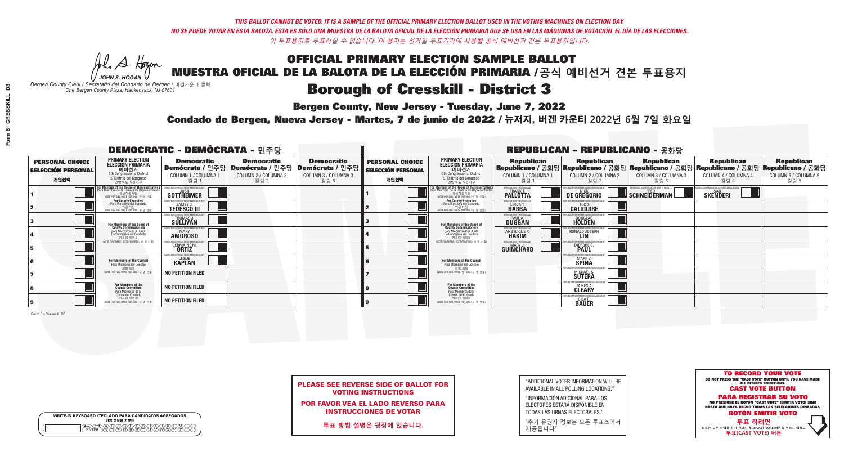A Hogen *JOHN S. HOGAN*

|   | <b>WRITE-IN KEYBOARD /TECLADO PARA CANDIDATOS AGREGADOS</b><br>기명 투표용 키보드 |
|---|---------------------------------------------------------------------------|
| o | .)B)C)DE)F)G)H)                                                           |
| o | <u>እጅአል አል</u>                                                            |

# **Borough of Cresskill - District 3**

**Bergen County, New Jersey - Tuesday, June 7, 2022** 

*Bergen County Clerk / Secretario del Condado de Bergen /* 버겐카운티 클럭 *One Bergen County Plaza, Hackensack, NJ 07601*



| <b>PLEASE SEE REVERSE SIDE OF BALLOT FOR</b> |
|----------------------------------------------|
| <b>VOTING INSTRUCTIONS</b>                   |

POR FAVOR VEA EL LADO REVERSO PARA INSTRUCCIONES DE VOTAR

**투표 방법 설명은 뒷장에 있습니다.**

"ADDITIONAL VOTER INFORMATION WILL BE AVAILABLE IN ALL POLLING LOCATIONS."

"INFORMACIÓN ADICIONAL PARA LOS ELECTORES ESTARÁ DISPONIBLE EN TODAS LAS URNAS ELECTORALES."

"추가 유권자 정보는 모든 투표소에서 제공됩니다"

Condado de Bergen, Nueva Jersey - Martes, 7 de junio de 2022 / 뉴저지, 버겐 카운티 2022년 6월 7일 화요일 *One Bergen County Plaza, Hackensack, NJ 07601*

| <b>DEMOCRATIC - DEMÓCRATA - 민주당</b>                         |                                                                                                                                                      |                                                                    |                                                   |                                                                                                        |                                                             |                                                                                                                                               |                                                            | <b>REPUBLICAN - REPUBLICANO - 공화당</b>                                                                                                          |                                                   |                                                                 |                                                   |
|-------------------------------------------------------------|------------------------------------------------------------------------------------------------------------------------------------------------------|--------------------------------------------------------------------|---------------------------------------------------|--------------------------------------------------------------------------------------------------------|-------------------------------------------------------------|-----------------------------------------------------------------------------------------------------------------------------------------------|------------------------------------------------------------|------------------------------------------------------------------------------------------------------------------------------------------------|---------------------------------------------------|-----------------------------------------------------------------|---------------------------------------------------|
| <b>PERSONAL CHOICE</b><br><b>SELECCIÓN PERSONAL</b><br>개인선택 | <b>PRIMARY ELECTION</b><br><b>ELECCIÓN PRIMARIA</b><br>예비선거<br>5th Congressional District<br>5° Distrito del Congreso<br>연방하원 5선거구                   | <b>Democratic</b><br>COLUMN 1 / COLUMNA 1<br>칼럼 :                  | <b>Democratic</b><br>COLUMN 2 / COLUMNA 2<br>칼럼 2 | <b>Democratic</b><br>│Demócrata / 민주당│Demócrata / 민주당│Demócrata / 민주당│<br>COLUMN 3 / COLUMNA 3<br>칼럼 3 | <b>PERSONAL CHOICE</b><br><b>SELECCIÓN PERSONAL</b><br>개인선택 | <b>PRIMARY ELECTION</b><br><b>ELECCIÓN PRIMARIA</b><br>예비선거<br>5th Congressional District<br>5° Distrito del Congreso<br>연방하원 5선거구            | <b>Republican</b><br>COLUMN 1 / COLUMNA 1<br>칼럼            | <b>Republican</b><br>Republicano / 공화당 Republicano / 공화당 Republicano / 공화당 Republicano / 공화당 Republicano / 공화당<br>COLUMN 2 / COLUMNA 2<br>칼럼 2 | <b>Republican</b><br>COLUMN 3 / COLUMNA 3<br>칼럼 3 | <b>Republican</b><br>COLUMN 4 / COLUMNA 4<br>칼럼 4               | <b>Republican</b><br>COLUMN 5 / COLUMNA 5<br>칼럼 5 |
|                                                             | <b>For Member of the House of Representatives</b><br>Para Miembro de la Cámara de Representantes<br>연방하원의원<br>(VOTE FOR ONE / VOTE POR UNO / 한 명 선출) | DEMOCRATIC COMMITTEE OF BERGEN COUNTY<br>JOSH<br><b>GOTTHEIMER</b> |                                                   |                                                                                                        |                                                             | For Member of the House of Representatives<br>Para Miembro de la Cámara de Representantes<br>연방하원의원<br>(VOTE FOR ONE / VOTE POR UNO / 한 명 선출) | BERGEN COUNTY REPUBLICANS<br>FRANK T.<br><b>PALLOTTA</b>   | DE GREGORIO                                                                                                                                    | SCHNEIDERMAN                                      | D VACCINE MANDATES, DEPORT ILLEGAL ALIENS. [<br><b>SKENDERI</b> |                                                   |
|                                                             | For County Executive<br>Para Ejecutivo del Condado<br>. 카운티장<br>(VOTE FOR ONE / VOTE POR UNO / 한 명 선출)                                               | )EMOCRATIC COMMITTEE OF BERGEN COUNT<br><b>TEDESCO III</b>         |                                                   |                                                                                                        |                                                             | <b>For County Executive</b><br>Para Ejecutivo del Condado<br>가운티상<br>(VOTE FOR ONE / VOTE POR UNO / 한 명 선출)                                   | BERGEN COUNTY REPUBLICAN<br>LINDAT.                        | <b>CALIGUIRE</b>                                                                                                                               |                                                   |                                                                 |                                                   |
|                                                             | For Members of the Board of<br>County Commissioners                                                                                                  | MOCRATIC COMMITTEE OF BERGEN COUNT<br><b>SULLIVAN</b>              |                                                   |                                                                                                        |                                                             | For Members of the Board of<br>County Commissioners                                                                                           | ERGEN COUNTY REPUBLICAN<br><b>PAUL A.</b><br><b>DUGGAN</b> | DOUGLAS<br>HOLDEN                                                                                                                              |                                                   |                                                                 |                                                   |
|                                                             | Para Miembros de la Junta<br>De Concejales del Condado<br>카우티 위원들                                                                                    | OCRATIC COMMITTEE OF BERGEN COUNTY<br><b>AMOROSO</b>               |                                                   |                                                                                                        |                                                             | Para Miembros de la Junta<br>De Concejales del Condado<br>카우티 위원들                                                                             | ERGEN COUNTY REPUBLICAN<br>ANGELIQUE R                     | RONALD JOSEPH                                                                                                                                  |                                                   |                                                                 |                                                   |
|                                                             | NOTE FOR THREE / VOTE POR TRES / 세 명 선출)                                                                                                             | RATIC COMMITTEE OF BERGEN COUN'<br><b>GERMAINE M.</b>              |                                                   |                                                                                                        |                                                             | NOTE FOR THREE / VOTE POR TRES / 세 명 선출                                                                                                       | ERGEN COUNTY REPUBLICANS<br>MARY J.<br>GUINCHARD           | <b>DIERDRE</b> Q                                                                                                                               |                                                   |                                                                 |                                                   |
|                                                             | For Members of the Council<br>Para Miembros del Conceio                                                                                              | 10CRATIC COMMITTEE OF BEBGEN CO<br><b>KAPLAN</b>                   |                                                   |                                                                                                        |                                                             | For Members of the Council<br>Para Miembros del Conceio                                                                                       |                                                            | OR RESPONSIBLE G<br><b>MARK V.</b><br><b>SPINA</b>                                                                                             |                                                   |                                                                 |                                                   |
|                                                             | 의회 의원<br>(VOTE FOR TWO / VOTE POR DOS / 두 명 선출                                                                                                       | <b>NO PETITION FILED</b>                                           |                                                   |                                                                                                        |                                                             | 의회 의원<br>(VOTE FOR TWO / VOTE POR DOS / 두 명 선출)                                                                                               |                                                            | PUBLICANS FOR RESPONSIBLE GOVI<br><b>MICHAEL S.</b><br><b>SUTERA</b>                                                                           |                                                   |                                                                 |                                                   |
|                                                             | For Members of the<br>County Committee<br>Para Miembros de la<br>Comité del Condado                                                                  | NO PETITION FILED                                                  |                                                   |                                                                                                        |                                                             | For Members of the<br>County Committee<br>Para Miembros de la<br>Comité del Condado                                                           |                                                            | <b>CLEARY</b>                                                                                                                                  |                                                   |                                                                 |                                                   |
|                                                             | 카운티 위원회<br>(VOTE FOR TWO / VOTE POR DOS / 두 명 선출)                                                                                                    | <b>NO PETITION FILED</b>                                           |                                                   |                                                                                                        |                                                             | 카운티 위원회<br>WOTE FOR TWO / VOTE POR DOS / 두 명 선출)                                                                                              |                                                            | EPUBLICANS FOR RESPONSIBLE<br><b>GILA R.<br/>BAUER</b>                                                                                         |                                                   |                                                                 |                                                   |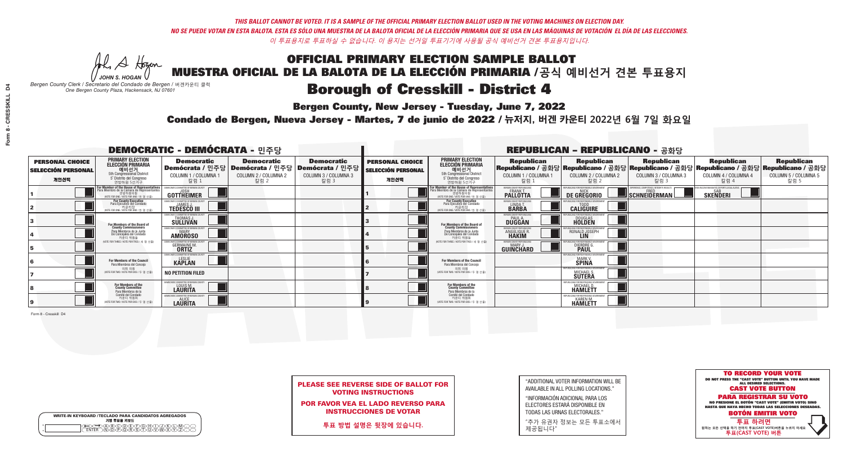A Hogen *JOHN S. HOGAN*

|         | <b>WRITE-IN KEYBOARD /TECLADO PARA CANDIDATOS AGREGADOS</b><br>기명 투표용 키보드 |
|---------|---------------------------------------------------------------------------|
| 0       | ABODEADEAN                                                                |
| $\circ$ | <b>ඁ</b> ᠗ᢆ᠗ᢆ᠗ᢆᢆᠷ᠗                                                        |

### **Borough of Cresskill - District 4**

**Bergen County, New Jersey - Tuesday, June 7, 2022** 

*Bergen County Clerk / Secretario del Condado de Bergen /* 버겐카운티 클럭 *One Bergen County Plaza, Hackensack, NJ 07601*



| <b>PLEASE SEE REVERSE SIDE OF BALLOT FOR</b> |
|----------------------------------------------|
| <b>VOTING INSTRUCTIONS</b>                   |

POR FAVOR VEA EL LADO REVERSO PARA INSTRUCCIONES DE VOTAR

**투표 방법 설명은 뒷장에 있습니다.**

"ADDITIONAL VOTER INFORMATION WILL BE AVAILABLE IN ALL POLLING LOCATIONS."

"INFORMACIÓN ADICIONAL PARA LOS ELECTORES ESTARÁ DISPONIBLE EN TODAS LAS URNAS ELECTORALES."

"추가 유권자 정보는 모든 투표소에서 제공됩니다"

Condado de Bergen, Nueva Jersey - Martes, 7 de junio de 2022 / 뉴저지, 버겐 카운티 2022년 6월 7일 화요일 *One Bergen County Plaza, Hackensack, NJ 07601*

| <b>DEMOCRATIC - DEMÓCRATA - 민주당</b>                         |                                                                                                                                               |                                                                   |                                                   |                                                                                                        |                                                             |                                                                                                                                               |                                                            | <b>REPUBLICAN - REPUBLICANO - 공화당</b>                             |                                                                                                                                                |                                                       |                                                   |
|-------------------------------------------------------------|-----------------------------------------------------------------------------------------------------------------------------------------------|-------------------------------------------------------------------|---------------------------------------------------|--------------------------------------------------------------------------------------------------------|-------------------------------------------------------------|-----------------------------------------------------------------------------------------------------------------------------------------------|------------------------------------------------------------|-------------------------------------------------------------------|------------------------------------------------------------------------------------------------------------------------------------------------|-------------------------------------------------------|---------------------------------------------------|
| <b>PERSONAL CHOICE</b><br><b>SELECCIÓN PERSONAL</b><br>개인선택 | <b>PRIMARY ELECTION</b><br><b>ELECCIÓN PRIMARIA</b><br>예비선거<br>5th Congressional District<br>5° Distrito del Congreso<br>연방하원 5선거구            | <b>Democratic</b><br>COLUMN 1 / COLUMNA 1<br>칼럼 1                 | <b>Democratic</b><br>COLUMN 2 / COLUMNA 2<br>칼럼 2 | <b>Democratic</b><br>│Demócrata / 민주당│Demócrata / 민주당│Demócrata / 민주당│<br>COLUMN 3 / COLUMNA 3<br>칼럼 3 | <b>PERSONAL CHOICE</b><br><b>SELECCIÓN PERSONAL</b><br>개인선택 | <b>PRIMARY ELECTION</b><br><b>ELECCIÓN PRIMARIA</b><br>. 예비선거<br>5th Congressional District<br>5° Distrito del Congreso<br>연방하원 5선거구          | <b>Republican</b><br>COLUMN 1 / COLUMNA 1<br>칼럼 :          | <b>Republican</b><br>COLUMN 2 / COLUMNA 2<br>칼럼 2                 | <b>Republican</b><br>Republicano / 공화당 Republicano / 공화당 Republicano / 공화당 Republicano / 공화당 Republicano / 공화당<br>COLUMN 3 / COLUMNA 3<br>칼럼 3 | <b>Republican</b><br>COLUMN 4 / COLUMNA 4<br>칼럼 4     | <b>Republican</b><br>COLUMN 5 / COLUMNA 5<br>칼럼 5 |
|                                                             | For Member of the House of Representatives<br>Para Miembro de la Cámara de Representantes<br>연방하원의원<br>(VOTE FOR ONE / VOTE POR UNO / 한 명 선출) | GOTTHEIMER                                                        |                                                   |                                                                                                        |                                                             | For Member of the House of Representatives<br>Para Miembro de la Cámara de Representantes<br>연방하원의원<br>(VOTE FOR ONE / VOTE POR UNO / 한 명 선출) | BERGEN COUNTY REPUBLICANS<br>FRANK T.<br><b>PALLOTTA</b>   | DE GREGORIO                                                       | SCHNEIDERMAN                                                                                                                                   | ) VACCINE MANDATES, DEPORT ILLEGAL ALIENS<br>SKEÑDERI |                                                   |
|                                                             | For County Executive<br>Para Ejecutivo del Condado<br>. 카운티장<br>(VOTE FOR ONE / VOTE POR UNO / 한 명 선출)                                        | )EMOCRATIC COMMITTEE OF BERGEN COUNTY<br><b>TEDESCO III</b>       |                                                   |                                                                                                        |                                                             | <b>For County Executive</b><br>Para Ejecutivo del Condado<br>7) 카운티장<br>(VOTE FOR ONE / VOTE POR UNO / 한 명 선출)                                | BERGEN COUNTY REPUBLICAN<br>LINDA T.                       | <b>CALIGUIRE</b>                                                  |                                                                                                                                                |                                                       |                                                   |
|                                                             | <b>For Members of the Board of<br/>County Commissioners</b>                                                                                   | MOCRATIC COMMITTEE OF BERGEN COUNTY<br>THOMAS J.                  |                                                   |                                                                                                        |                                                             | For Members of the Board of<br>County Commissioners                                                                                           | ERGEN COUNTY REPUBLICAN<br><b>PAUL A.</b><br><b>DUGGAN</b> | <b>DOUGLAS</b>                                                    |                                                                                                                                                |                                                       |                                                   |
|                                                             | Para Miembros de la Junta<br>De Concejales del Condado<br>카운티 위원들                                                                             | <b>CRATIC COMMITTEE OF BERGEN COUNT</b><br>MARY<br><b>AMOROSO</b> |                                                   |                                                                                                        |                                                             | Para Miembros de la Junta<br>De Concejales del Condado<br>카우티 위원들                                                                             | RGEN COUNTY REPUBLICAN<br><b>ANGELIQUE R</b>               | RONALD JOSEPH                                                     |                                                                                                                                                |                                                       |                                                   |
|                                                             | NOTE FOR THREE / VOTE POR TRES / 세 명 선출)                                                                                                      | TIC COMMITTEE OF BERGEN COUN<br><b>GERMAINE M.</b>                |                                                   |                                                                                                        |                                                             | NOTE FOR THREE / VOTE POR TRES / 세 명 선출                                                                                                       | ERGEN COUNTY REPUBLICANS<br>MARY J.<br>GUIÑĈHARD           | DIERDRE G                                                         |                                                                                                                                                |                                                       |                                                   |
|                                                             | For Members of the Council<br>Para Miembros del Conceio                                                                                       | EMOCRATIC COMMITTEE OF BERGEN COUNT<br><b>KAPLAN</b>              |                                                   |                                                                                                        |                                                             | For Members of the Council<br>Para Miembros del Conceio                                                                                       |                                                            | <b>FOR RESPONSIBLE</b><br><b>MARK V.</b><br><b>SPINA</b>          |                                                                                                                                                |                                                       |                                                   |
|                                                             | 의회 의원<br>(VOTE FOR TWO / VOTE POR DOS / 두 명 선출                                                                                                | <b>NO PETITION FILED</b>                                          |                                                   |                                                                                                        |                                                             | 의회 의원<br>(VOTE FOR TWO / VOTE POR DOS / 두 명 선출)                                                                                               |                                                            | FPUBLICANS FOR RESPONSIBLE G<br>MICHAEL S.<br><b>SUTERA</b>       |                                                                                                                                                |                                                       |                                                   |
|                                                             | For Members of the<br>County Committee<br>Para Miembros de la                                                                                 | MOCRATIC COMMITTEE OF BERGEN COUNTY<br>LOUIS M.                   |                                                   |                                                                                                        |                                                             | For Members of the<br>County Committee<br>Para Miembros de la<br>Comité del Condado                                                           |                                                            | <b>FPUBLICANS FOR RESPONSIBLE 6</b><br>MICHAEL D.<br>HAMLETT      |                                                                                                                                                |                                                       |                                                   |
|                                                             | Comité del Condado<br>카운티 위원회<br>(VOTE FOR TWO / VOTE POR DOS / 두 명 선출)                                                                       | EMOCRATIC COMMITTEE OF RERGEN COUNT<br><b>LAURITA</b>             |                                                   |                                                                                                        |                                                             | 카운티 위원회<br>NOTE FOR TWO / VOTE POR DOS / 두 명 선출)                                                                                              |                                                            | <b>EPURLICANS FOR RESPONSIBLE G</b><br><b>KAREN M.</b><br>HAMLETT |                                                                                                                                                |                                                       |                                                   |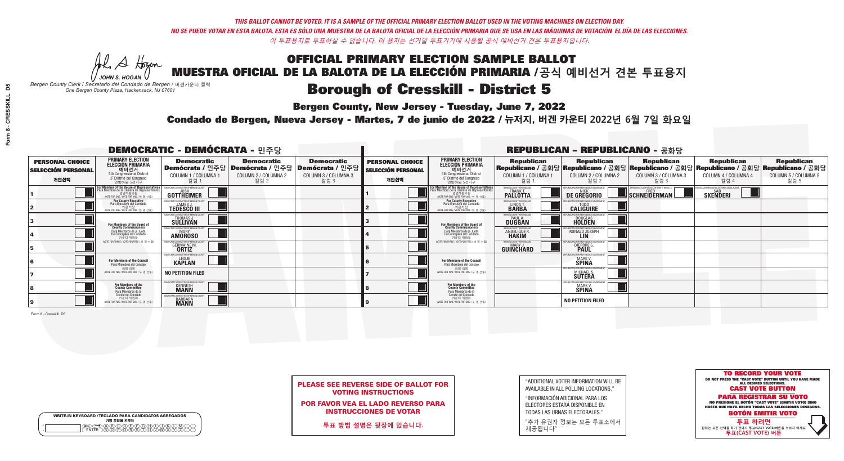### OFFICIAL PRIMARY ELECTION SAMPLE BALLOT MUESTRA OFICIAL DE LA BALOTA DE LA ELECCIÓN PRIMARIA /**공식 예비선거 견본 투표용지 Borough of Cresskill - District 5**

**Bergen County, New Jersey - Tuesday, June 7, 2022** 

A Hogen *JOHN S. HOGAN*

|         | <b>WRITE-IN KEYBOARD /TECLADO PARA CANDIDATOS AGREGADOS</b><br>기명 투표용 키보드 |
|---------|---------------------------------------------------------------------------|
| 0       | ABODEADEAN                                                                |
| $\circ$ | <b>ඁ</b> ᠗ᢆ᠗ᢆ᠗ᢆᢆᠷ᠗                                                        |

*Bergen County Clerk / Secretario del Condado de Bergen /* 버겐카운티 클럭 *One Bergen County Plaza, Hackensack, NJ 07601*



PLEASE SEE REVERSE SIDE OF BALLOT FOR VOTING INSTRUCTIONS

POR FAVOR VEA EL LADO REVERSO PARA INSTRUCCIONES DE VOTAR

**투표 방법 설명은 뒷장에 있습니다.**

| "ADDITIONAL VOTER INFORMATION WILL BE |
|---------------------------------------|
| AVAILABLE IN ALL POLLING LOCATIONS."  |

"INFORMACIÓN ADICIONAL PARA LOS ELECTORES ESTARÁ DISPONIBLE EN TODAS LAS URNAS ELECTORALES."

"추가 유권자 정보는 모든 투표소에서 제공됩니다"

Condado de Bergen, Nueva Jersey - Martes, 7 de junio de 2022 / 뉴저지, 버겐 카운티 2022년 6월 7일 화요일 *One Bergen County Plaza, Hackensack, NJ 07601*

| <b>DEMOCRATIC - DEMÓCRATA - 민주당</b>                         |                                                                                                                                    |                                                                       |                                                   |                                                                                                        | <b>REPUBLICAN - REPUBLICANO - 공화당</b>                       |                                                                                                                     |                                                            |                                                          |                                                                                                                                                |                                                   |                                                   |
|-------------------------------------------------------------|------------------------------------------------------------------------------------------------------------------------------------|-----------------------------------------------------------------------|---------------------------------------------------|--------------------------------------------------------------------------------------------------------|-------------------------------------------------------------|---------------------------------------------------------------------------------------------------------------------|------------------------------------------------------------|----------------------------------------------------------|------------------------------------------------------------------------------------------------------------------------------------------------|---------------------------------------------------|---------------------------------------------------|
| <b>PERSONAL CHOICE</b><br><b>SELECCIÓN PERSONAL</b><br>개인선택 | <b>PRIMARY ELECTION</b><br><b>ELECCIÓN PRIMARIA</b><br>예비선거<br>5th Congressional District<br>5° Distrito del Congreso<br>연방하원 5선거구 | <b>Democratic</b><br>COLUMN 1 / COLUMNA 1<br>칼럼 1                     | <b>Democratic</b><br>COLUMN 2 / COLUMNA 2<br>칼럼 2 | <b>Democratic</b><br>│Demócrata / 민주당│Demócrata / 민주당│Demócrata / 민주당│<br>COLUMN 3 / COLUMNA 3<br>칼럼 3 | <b>PERSONAL CHOICE</b><br><b>SELECCIÓN PERSONAL</b><br>개인선택 | <b>PRIMARY ELECTION</b><br>ELECCIÓN PRIMARIA<br>5th Congressional District<br>5° Distrito del Congreso<br>연방하원 5선거구 | <b>Republican</b><br>COLUMN 1 / COLUMNA 1<br>칼럼            | <b>Republican</b><br>COLUMN 2 / COLUMNA 2<br>칼럼 2        | <b>Republican</b><br>Republicano / 공화당 Republicano / 공화당 Republicano / 공화당 Republicano / 공화당 Republicano / 공화당<br>COLUMN 3 / COLUMNA 3<br>칼럼 3 | <b>Republican</b><br>COLUMN 4 / COLUMNA 4<br>칼럼 4 | <b>Republican</b><br>COLUMN 5 / COLUMNA 5<br>칼럼 5 |
|                                                             | For Member of the House of Representatives<br>Para Miembro de la Cámara de Representantes                                          | <b>GOTTHEIMER</b>                                                     |                                                   |                                                                                                        |                                                             | For Member of the House of Representatives<br>Para Miembro de la Cámara de Representantes                           | ERGEN COUNTY REPUBLICAN<br><b>PALLOTTA</b>                 | DE GREGORIO                                              | SCHNEIDERMAN                                                                                                                                   | <b>SKENDERI</b>                                   |                                                   |
|                                                             | <b>For County Executive</b><br>Para Ejecutivo del Condado<br>WOTE FOR ONE / VOTE POR UNO / 한 명 선출)                                 | <b>TEDESCO III</b>                                                    |                                                   |                                                                                                        |                                                             | <b>For County Executive</b><br>Para Ejecutivo del Condado<br>WOTE FOR ONE / VOTE POR UNO / 한 명 선출                   | BERGEN COUNTY REPUBLICA<br>LINDA T.                        | <b>CALIGUIRE</b>                                         |                                                                                                                                                |                                                   |                                                   |
|                                                             | For Members of the Board of<br>County Commissioners                                                                                | MOCRATIC COMMITTEE OF BERGEN COUN:<br>THOMAS J.                       |                                                   |                                                                                                        |                                                             | For Members of the Board of<br>County Commissioners                                                                 | ERGEN COUNTY REPUBLICAN<br><b>PAUL A.</b><br><b>DUGGAN</b> | <b>DOUGLAS</b>                                           |                                                                                                                                                |                                                   |                                                   |
|                                                             | Para Miembros de la Junta<br>De Concejales del Condado<br>카운티 위원들                                                                  | MOCRATIC COMMITTEE OF BERGEN COUN'<br><b>MARY</b><br><b>AMOROSO</b>   |                                                   |                                                                                                        |                                                             | Para Miembros de la Junta<br>De Concejales del Condado<br>카운티 위원들                                                   | ERGEN COUNTY REPUBLICAN<br>ANGELIQUE R.<br><b>HAKIM</b>    | RONALD JOSEPH<br><b>LIN</b>                              |                                                                                                                                                |                                                   |                                                   |
|                                                             | NOTE FOR THREE / VOTE POR TRES / 세 명 선출)                                                                                           | RATIC COMMITTEE OF RERGEN COLIN<br><b>GERMAINE M.</b><br><b>ORTIZ</b> |                                                   |                                                                                                        |                                                             | NOTE FOR THREE / VOTE POR TRES / 세 명 선출)                                                                            | ERGEN COUNTY REPUBLICANS<br>MARY J<br>GUINCHARD            | DIERDRE (                                                |                                                                                                                                                |                                                   |                                                   |
|                                                             | For Members of the Council<br>Para Miembros del Conceio                                                                            | MOCRATIC COMMITTEE OF BERGEN COUNTY<br><b>KAPLAN</b>                  |                                                   |                                                                                                        |                                                             | <b>For Members of the Council</b><br>Para Miembros del Concejo                                                      |                                                            | MARK V.<br>SPINA                                         |                                                                                                                                                |                                                   |                                                   |
|                                                             | 의회 의원<br>(VOTE FOR TWO / VOTE POR DOS / 두 명 선출                                                                                     | NO PETITION FILED                                                     |                                                   |                                                                                                        |                                                             | 의회 의원<br>NOTE FOR TWO / VOTE POR DOS / 두 명 선출)                                                                      |                                                            | MICHAEL S.<br><b>SUTERA</b>                              |                                                                                                                                                |                                                   |                                                   |
|                                                             | For Members of the<br>County Committee<br>Para Miembros de la<br>Comité del Condado                                                | MOCRATIC COMMITTEE OF BERGEN COUNTY<br><b>KENNETH</b>                 |                                                   |                                                                                                        |                                                             | For Members of the<br>County Committee<br>Para Miembros de la<br>Comité del Condado                                 |                                                            | IFPUBLICANS FOR RESPONSIBLE (<br><b>MARK V.</b><br>SPINA |                                                                                                                                                |                                                   |                                                   |
|                                                             | 카운티 위원회<br>NOTE FOR TWO / VOTE POR DOS / 두 명 선출)                                                                                   | RATIC COMMITTEE OF BERGEN COUN<br><b>BARBARA</b>                      |                                                   |                                                                                                        |                                                             | 카운티 위원회<br>(VOTE FOR TWO / VOTE POR DOS / 두 명 선출)                                                                   |                                                            | <b>NO PETITION FILED</b>                                 |                                                                                                                                                |                                                   |                                                   |